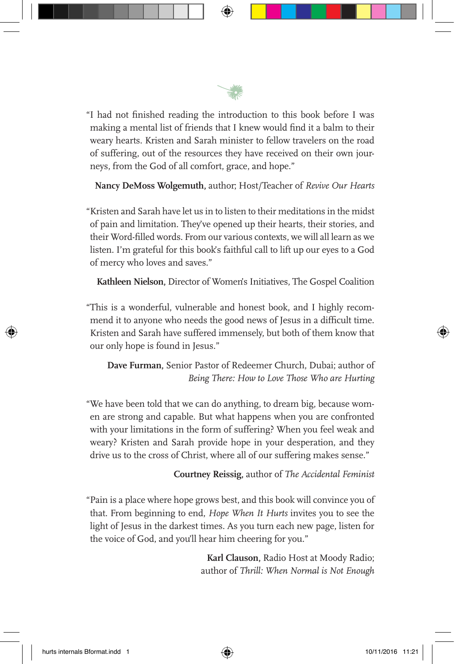

"I had not finished reading the introduction to this book before I was making a mental list of friends that I knew would find it a balm to their weary hearts. Kristen and Sarah minister to fellow travelers on the road of suffering, out of the resources they have received on their own journeys, from the God of all comfort, grace, and hope."

**Nancy DeMoss Wolgemuth,** author; Host/Teacher of *Revive Our Hearts*

"Kristen and Sarah have let us in to listen to their meditations in the midst of pain and limitation. They've opened up their hearts, their stories, and their Word-filled words. From our various contexts, we will all learn as we listen. I'm grateful for this book's faithful call to lift up our eyes to a God of mercy who loves and saves."

**Kathleen Nielson,** Director of Women's Initiatives, The Gospel Coalition

"This is a wonderful, vulnerable and honest book, and I highly recommend it to anyone who needs the good news of Jesus in a difficult time. Kristen and Sarah have suffered immensely, but both of them know that our only hope is found in Jesus."

**Dave Furman,** Senior Pastor of Redeemer Church, Dubai; author of *Being There: How to Love Those Who are Hurting*

"We have been told that we can do anything, to dream big, because women are strong and capable. But what happens when you are confronted with your limitations in the form of suffering? When you feel weak and weary? Kristen and Sarah provide hope in your desperation, and they drive us to the cross of Christ, where all of our suffering makes sense."

**Courtney Reissig,** author of *The Accidental Feminist*

"Pain is a place where hope grows best, and this book will convince you of that. From beginning to end, *Hope When It Hurts* invites you to see the light of Jesus in the darkest times. As you turn each new page, listen for the voice of God, and you'll hear him cheering for you."

> **Karl Clauson,** Radio Host at Moody Radio; author of *Thrill: When Normal is Not Enough*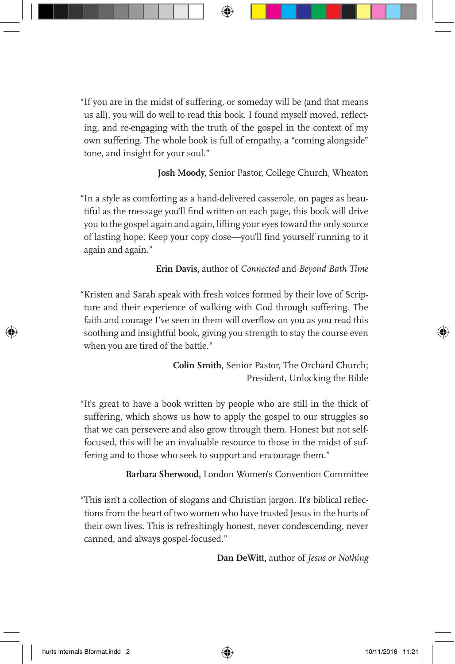"If you are in the midst of suffering, or someday will be (and that means us all), you will do well to read this book. I found myself moved, reflecting, and re-engaging with the truth of the gospel in the context of my own suffering. The whole book is full of empathy, a "coming alongside" tone, and insight for your soul."

**Josh Moody,** Senior Pastor, College Church, Wheaton

"In a style as comforting as a hand-delivered casserole, on pages as beautiful as the message you'll find written on each page, this book will drive you to the gospel again and again, lifting your eyes toward the only source of lasting hope. Keep your copy close—you'll find yourself running to it again and again."

**Erin Davis,** author of *Connected* and *Beyond Bath Time*

"Kristen and Sarah speak with fresh voices formed by their love of Scripture and their experience of walking with God through suffering. The faith and courage I've seen in them will overflow on you as you read this soothing and insightful book, giving you strength to stay the course even when you are tired of the battle."

> **Colin Smith,** Senior Pastor, The Orchard Church; President, Unlocking the Bible

"It's great to have a book written by people who are still in the thick of suffering, which shows us how to apply the gospel to our struggles so that we can persevere and also grow through them. Honest but not selffocused, this will be an invaluable resource to those in the midst of suffering and to those who seek to support and encourage them."

**Barbara Sherwood,** London Women's Convention Committee

"This isn't a collection of slogans and Christian jargon. It's biblical reflections from the heart of two women who have trusted Jesus in the hurts of their own lives. This is refreshingly honest, never condescending, never canned, and always gospel-focused."

**Dan DeWitt,** author of *Jesus or Nothing*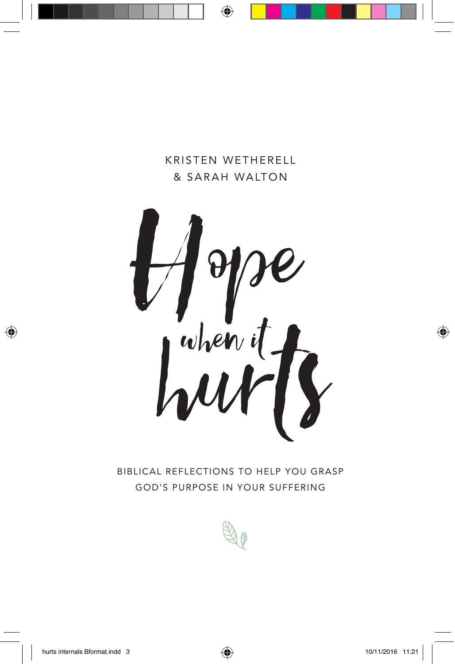KRISTEN WETHERELL & SARAH WALTON



BIBLICAL REFLECTIONS TO HELP YOU GRASP GOD'S PURPOSE IN YOUR SUFFERING

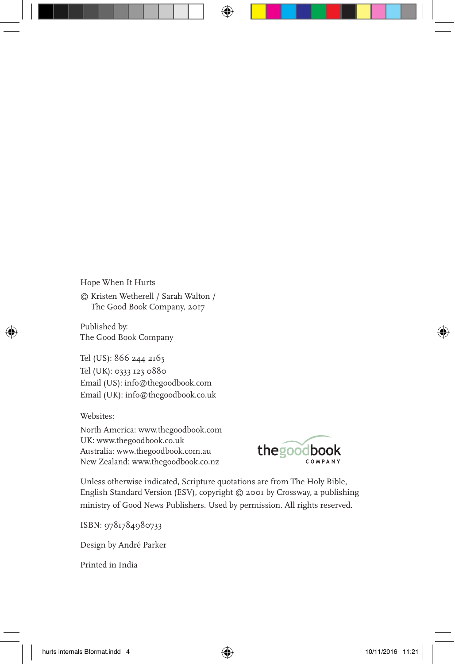Hope When It Hurts

© Kristen Wetherell / Sarah Walton / The Good Book Company, 2017

Published by: The Good Book Company

Tel (US): 866 244 2165 Tel (UK): 0333 123 0880 Email (US): info@thegoodbook.com Email (UK): info@thegoodbook.co.uk

Websites:

North America: www.thegoodbook.com UK: www.thegoodbook.co.uk Australia: www.thegoodbook.com.au New Zealand: www.thegoodbook.co.nz



Unless otherwise indicated, Scripture quotations are from The Holy Bible, English Standard Version (ESV), copyright © 2001 by Crossway, a publishing ministry of Good News Publishers. Used by permission. All rights reserved.

ISBN: 9781784980733

Design by André Parker

Printed in India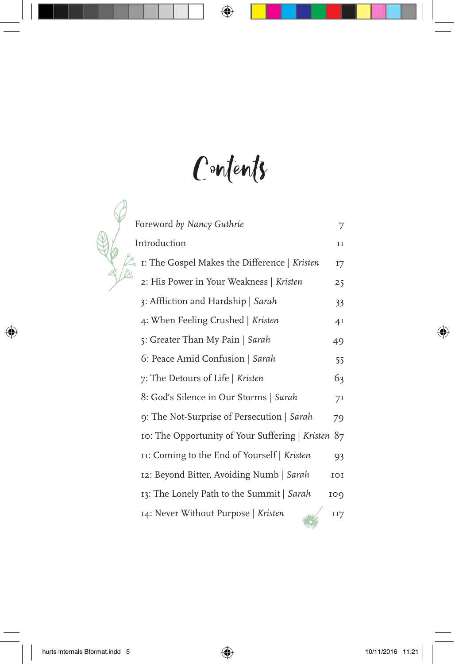Contents



| Foreword by Nancy Guthrie                       | 7       |
|-------------------------------------------------|---------|
| Introduction                                    | $_{II}$ |
| I: The Gospel Makes the Difference   Kristen    | I7      |
| 2: His Power in Your Weakness   Kristen         | 25      |
| 3: Affliction and Hardship   Sarah              | 33      |
| 4: When Feeling Crushed   Kristen               | 41      |
| 5: Greater Than My Pain   Sarah                 | 49      |
| 6: Peace Amid Confusion   Sarah                 | 55      |
| 7: The Detours of Life   Kristen                | 63      |
| 8: God's Silence in Our Storms   Sarah          | 71      |
| 9: The Not-Surprise of Persecution   Sarah      | 79      |
| 10: The Opportunity of Your Suffering   Kristen | 87      |
| II: Coming to the End of Yourself   Kristen     | 93      |
| 12: Beyond Bitter, Avoiding Numb   Sarah        | IOI     |
| 13: The Lonely Path to the Summit   Sarah       | 100     |
| 14: Never Without Purpose   Kristen             | II7     |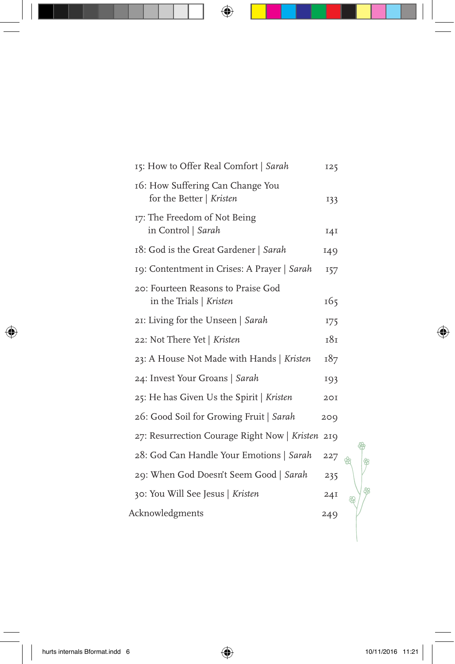| 15: How to Offer Real Comfort   Sarah                         | 125              |  |
|---------------------------------------------------------------|------------------|--|
| 16: How Suffering Can Change You<br>for the Better   Kristen  | 133              |  |
| 17: The Freedom of Not Being<br>in Control   Sarah            | I4I              |  |
| 18: God is the Great Gardener   Sarah                         | 149              |  |
| 19: Contentment in Crises: A Prayer   Sarah                   | 157              |  |
| 20: Fourteen Reasons to Praise God<br>in the Trials   Kristen | 165              |  |
| 21: Living for the Unseen   Sarah                             | 175              |  |
| 22: Not There Yet   Kristen                                   | т8т              |  |
| 23: A House Not Made with Hands   Kristen                     | 187              |  |
| 24: Invest Your Groans   Sarah                                | 193              |  |
| 25: He has Given Us the Spirit   Kristen                      | 20I              |  |
| 26: Good Soil for Growing Fruit   Sarah                       | 209              |  |
| 27: Resurrection Courage Right Now   Kristen                  | 2IQ              |  |
| 28: God Can Handle Your Emotions   Sarah                      | 227 <sub>6</sub> |  |
| 29: When God Doesn't Seem Good   Sarah                        | 235              |  |
| 30: You Will See Jesus   Kristen                              | 24I              |  |
| Acknowledgments                                               | 249              |  |
|                                                               |                  |  |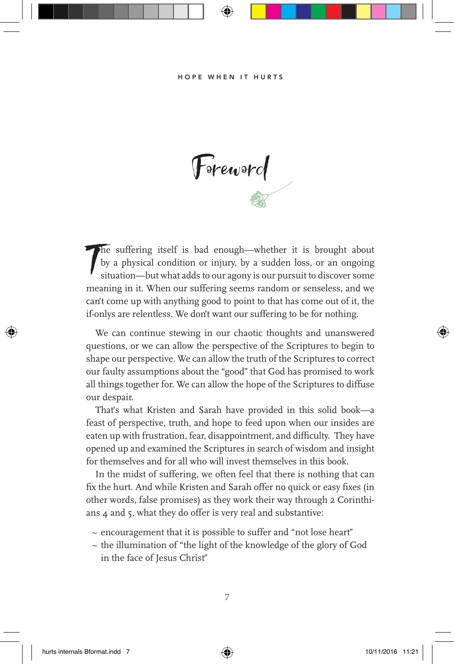Foreword

T he suffering itself is bad enough—whether it is brought about by a physical condition or injury, by a sudden loss, or an ongoing situation—but what adds to our agony is our pursuit to discover some meaning in it. When our suffering seems random or senseless, and we can't come up with anything good to point to that has come out of it, the if-onlys are relentless. We don't want our suffering to be for nothing.

We can continue stewing in our chaotic thoughts and unanswered questions, or we can allow the perspective of the Scriptures to begin to shape our perspective. We can allow the truth of the Scriptures to correct our faulty assumptions about the "good" that God has promised to work all things together for. We can allow the hope of the Scriptures to diffuse our despair.

That's what Kristen and Sarah have provided in this solid book—a feast of perspective, truth, and hope to feed upon when our insides are eaten up with frustration, fear, disappointment, and difficulty. They have opened up and examined the Scriptures in search of wisdom and insight for themselves and for all who will invest themselves in this book.

In the midst of suffering, we often feel that there is nothing that can fix the hurt. And while Kristen and Sarah offer no quick or easy fixes (in other words, false promises) as they work their way through 2 Corinthians 4 and 5, what they do offer is very real and substantive:

- *~* encouragement that it is possible to suffer and "not lose heart"
- *~* the illumination of "the light of the knowledge of the glory of God in the face of Jesus Christ"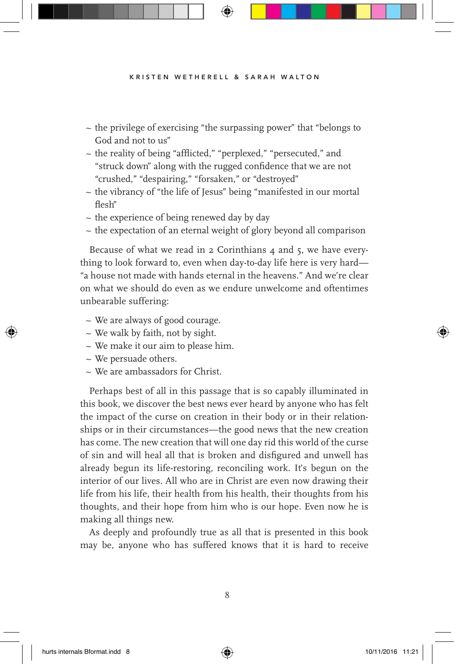- *~* the privilege of exercising "the surpassing power" that "belongs to God and not to us"
- *~* the reality of being "afflicted," "perplexed," "persecuted," and "struck down" along with the rugged confidence that we are not "crushed," "despairing," "forsaken," or "destroyed"
- *~* the vibrancy of "the life of Jesus" being "manifested in our mortal flesh"
- *~* the experience of being renewed day by day
- *~* the expectation of an eternal weight of glory beyond all comparison

Because of what we read in 2 Corinthians 4 and 5, we have everything to look forward to, even when day-to-day life here is very hard— "a house not made with hands eternal in the heavens." And we're clear on what we should do even as we endure unwelcome and oftentimes unbearable suffering:

- *~* We are always of good courage.
- *~* We walk by faith, not by sight.
- *~* We make it our aim to please him.
- *~* We persuade others.
- *~* We are ambassadors for Christ.

Perhaps best of all in this passage that is so capably illuminated in this book, we discover the best news ever heard by anyone who has felt the impact of the curse on creation in their body or in their relationships or in their circumstances—the good news that the new creation has come. The new creation that will one day rid this world of the curse of sin and will heal all that is broken and disfigured and unwell has already begun its life-restoring, reconciling work. It's begun on the interior of our lives. All who are in Christ are even now drawing their life from his life, their health from his health, their thoughts from his thoughts, and their hope from him who is our hope. Even now he is making all things new.

As deeply and profoundly true as all that is presented in this book may be, anyone who has suffered knows that it is hard to receive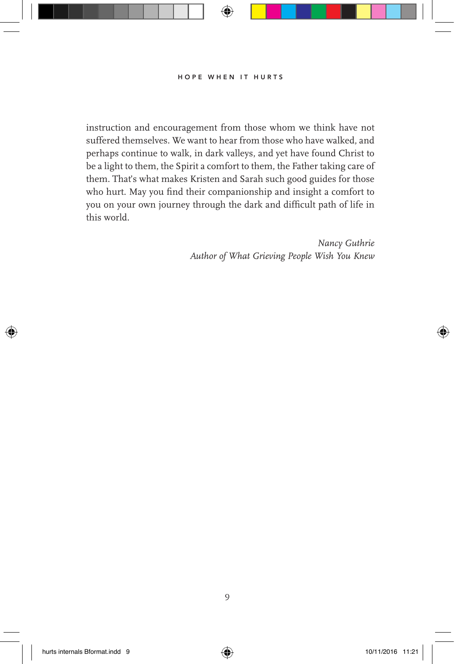instruction and encouragement from those whom we think have not suffered themselves. We want to hear from those who have walked, and perhaps continue to walk, in dark valleys, and yet have found Christ to be a light to them, the Spirit a comfort to them, the Father taking care of them. That's what makes Kristen and Sarah such good guides for those who hurt. May you find their companionship and insight a comfort to you on your own journey through the dark and difficult path of life in this world.

> *Nancy Guthrie Author of What Grieving People Wish You Knew*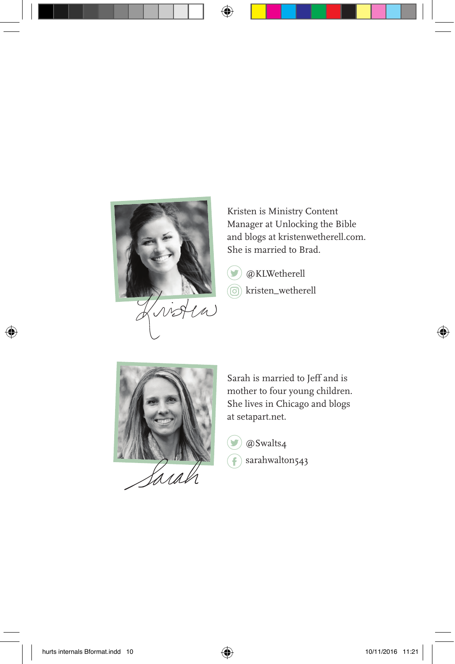

Kristen is Ministry Content Manager at Unlocking the Bible and blogs at kristenwetherell.com. She is married to Brad.

**@KLWetherell** (o) kristen\_wetherell



Sarah is married to Jeff and is mother to four young children. She lives in Chicago and blogs at setapart.net.

@Swalts4 y. sarahwalton543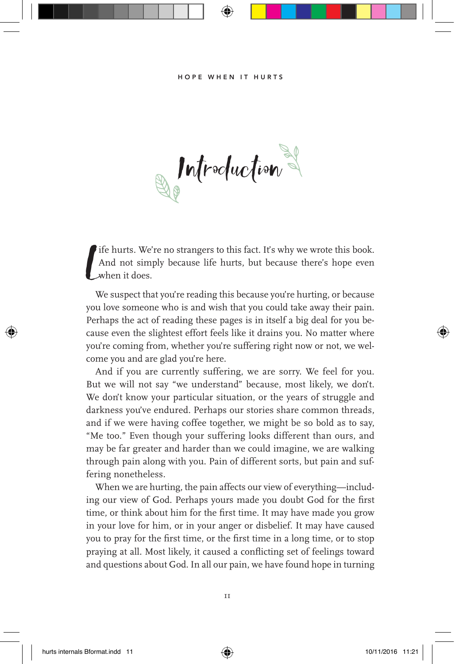Introduction

L ife hurts. We're no strangers to this fact. It's why we wrote this book. And not simply because life hurts, but because there's hope even when it does.

We suspect that you're reading this because you're hurting, or because you love someone who is and wish that you could take away their pain. Perhaps the act of reading these pages is in itself a big deal for you because even the slightest effort feels like it drains you. No matter where you're coming from, whether you're suffering right now or not, we welcome you and are glad you're here.

And if you are currently suffering, we are sorry. We feel for you. But we will not say "we understand" because, most likely, we don't. We don't know your particular situation, or the years of struggle and darkness you've endured. Perhaps our stories share common threads, and if we were having coffee together, we might be so bold as to say, "Me too." Even though your suffering looks different than ours, and may be far greater and harder than we could imagine, we are walking through pain along with you. Pain of different sorts, but pain and suffering nonetheless.

When we are hurting, the pain affects our view of everything—including our view of God. Perhaps yours made you doubt God for the first time, or think about him for the first time. It may have made you grow in your love for him, or in your anger or disbelief. It may have caused you to pray for the first time, or the first time in a long time, or to stop praying at all. Most likely, it caused a conflicting set of feelings toward and questions about God. In all our pain, we have found hope in turning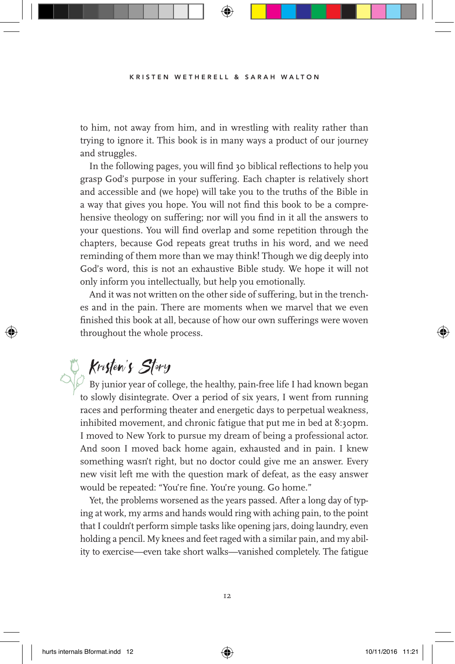to him, not away from him, and in wrestling with reality rather than trying to ignore it. This book is in many ways a product of our journey and struggles.

In the following pages, you will find 30 biblical reflections to help you grasp God's purpose in your suffering. Each chapter is relatively short and accessible and (we hope) will take you to the truths of the Bible in a way that gives you hope. You will not find this book to be a comprehensive theology on suffering; nor will you find in it all the answers to your questions. You will find overlap and some repetition through the chapters, because God repeats great truths in his word, and we need reminding of them more than we may think! Though we dig deeply into God's word, this is not an exhaustive Bible study. We hope it will not only inform you intellectually, but help you emotionally.

And it was not written on the other side of suffering, but in the trenches and in the pain. There are moments when we marvel that we even finished this book at all, because of how our own sufferings were woven throughout the whole process.

### Kristen's Story

By junior year of college, the healthy, pain-free life I had known began to slowly disintegrate. Over a period of six years, I went from running races and performing theater and energetic days to perpetual weakness, inhibited movement, and chronic fatigue that put me in bed at 8:30pm. I moved to New York to pursue my dream of being a professional actor. And soon I moved back home again, exhausted and in pain. I knew something wasn't right, but no doctor could give me an answer. Every new visit left me with the question mark of defeat, as the easy answer would be repeated: "You're fine. You're young. Go home."

Yet, the problems worsened as the years passed. After a long day of typing at work, my arms and hands would ring with aching pain, to the point that I couldn't perform simple tasks like opening jars, doing laundry, even holding a pencil. My knees and feet raged with a similar pain, and my ability to exercise—even take short walks—vanished completely. The fatigue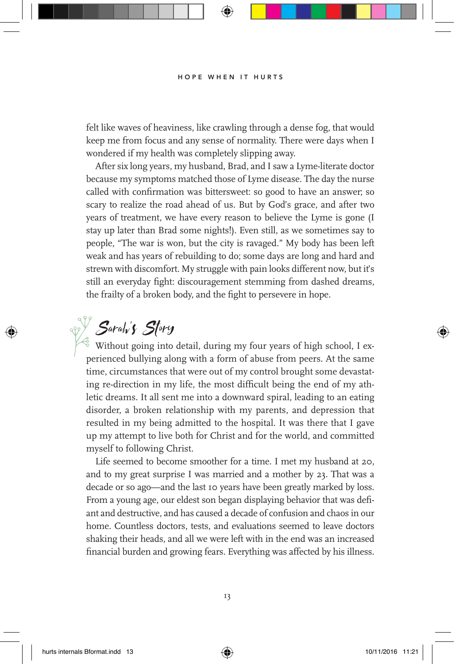felt like waves of heaviness, like crawling through a dense fog, that would keep me from focus and any sense of normality. There were days when I wondered if my health was completely slipping away.

After six long years, my husband, Brad, and I saw a Lyme-literate doctor because my symptoms matched those of Lyme disease. The day the nurse called with confirmation was bittersweet: so good to have an answer; so scary to realize the road ahead of us. But by God's grace, and after two years of treatment, we have every reason to believe the Lyme is gone (I stay up later than Brad some nights!). Even still, as we sometimes say to people, "The war is won, but the city is ravaged." My body has been left weak and has years of rebuilding to do; some days are long and hard and strewn with discomfort. My struggle with pain looks different now, but it's still an everyday fight: discouragement stemming from dashed dreams, the frailty of a broken body, and the fight to persevere in hope.

Sarah's Story

Without going into detail, during my four years of high school, I experienced bullying along with a form of abuse from peers. At the same time, circumstances that were out of my control brought some devastating re-direction in my life, the most difficult being the end of my athletic dreams. It all sent me into a downward spiral, leading to an eating disorder, a broken relationship with my parents, and depression that resulted in my being admitted to the hospital. It was there that I gave up my attempt to live both for Christ and for the world, and committed myself to following Christ.

Life seemed to become smoother for a time. I met my husband at 20, and to my great surprise I was married and a mother by 23. That was a decade or so ago—and the last 10 years have been greatly marked by loss. From a young age, our eldest son began displaying behavior that was defiant and destructive, and has caused a decade of confusion and chaos in our home. Countless doctors, tests, and evaluations seemed to leave doctors shaking their heads, and all we were left with in the end was an increased financial burden and growing fears. Everything was affected by his illness.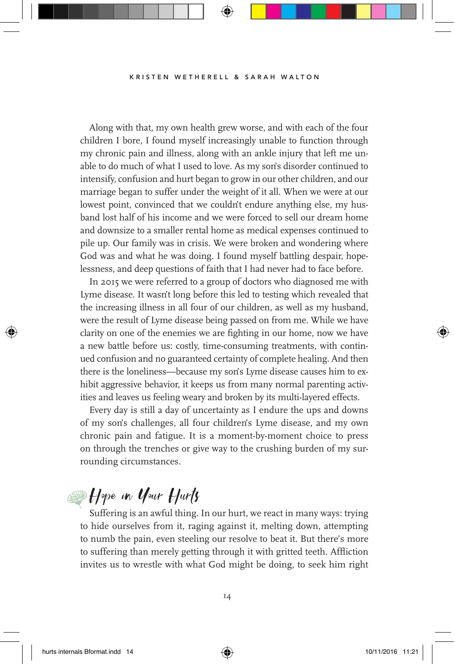Along with that, my own health grew worse, and with each of the four children I bore, I found myself increasingly unable to function through my chronic pain and illness, along with an ankle injury that left me unable to do much of what I used to love. As my son's disorder continued to intensify, confusion and hurt began to grow in our other children, and our marriage began to suffer under the weight of it all. When we were at our lowest point, convinced that we couldn't endure anything else, my husband lost half of his income and we were forced to sell our dream home and downsize to a smaller rental home as medical expenses continued to pile up. Our family was in crisis. We were broken and wondering where God was and what he was doing. I found myself battling despair, hopelessness, and deep questions of faith that I had never had to face before.

In 2015 we were referred to a group of doctors who diagnosed me with Lyme disease. It wasn't long before this led to testing which revealed that the increasing illness in all four of our children, as well as my husband, were the result of Lyme disease being passed on from me. While we have clarity on one of the enemies we are fighting in our home, now we have a new battle before us: costly, time-consuming treatments, with continued confusion and no guaranteed certainty of complete healing. And then there is the loneliness—because my son's Lyme disease causes him to exhibit aggressive behavior, it keeps us from many normal parenting activities and leaves us feeling weary and broken by its multi-layered effects.

Every day is still a day of uncertainty as I endure the ups and downs of my son's challenges, all four children's Lyme disease, and my own chronic pain and fatigue. It is a moment-by-moment choice to press on through the trenches or give way to the crushing burden of my surrounding circumstances.

#### Hope in Your Hurts

Suffering is an awful thing. In our hurt, we react in many ways: trying to hide ourselves from it, raging against it, melting down, attempting to numb the pain, even steeling our resolve to beat it. But there's more to suffering than merely getting through it with gritted teeth. Affliction invites us to wrestle with what God might be doing, to seek him right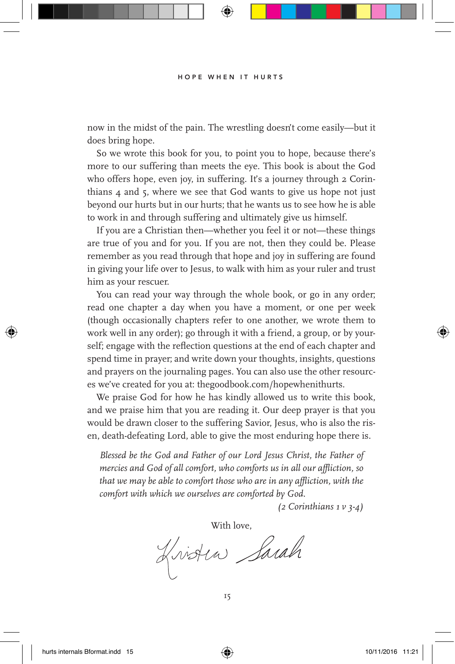now in the midst of the pain. The wrestling doesn't come easily—but it does bring hope.

So we wrote this book for you, to point you to hope, because there's more to our suffering than meets the eye. This book is about the God who offers hope, even joy, in suffering. It's a journey through 2 Corinthians 4 and 5, where we see that God wants to give us hope not just beyond our hurts but in our hurts; that he wants us to see how he is able to work in and through suffering and ultimately give us himself.

If you are a Christian then—whether you feel it or not—these things are true of you and for you. If you are not, then they could be. Please remember as you read through that hope and joy in suffering are found in giving your life over to Jesus, to walk with him as your ruler and trust him as your rescuer.

You can read your way through the whole book, or go in any order; read one chapter a day when you have a moment, or one per week (though occasionally chapters refer to one another, we wrote them to work well in any order); go through it with a friend, a group, or by yourself; engage with the reflection questions at the end of each chapter and spend time in prayer; and write down your thoughts, insights, questions and prayers on the journaling pages. You can also use the other resources we've created for you at: thegoodbook.com/hopewhenithurts.

We praise God for how he has kindly allowed us to write this book, and we praise him that you are reading it. Our deep prayer is that you would be drawn closer to the suffering Savior, Jesus, who is also the risen, death-defeating Lord, able to give the most enduring hope there is.

*Blessed be the God and Father of our Lord Jesus Christ, the Father of mercies and God of all comfort, who comforts us in all our affliction, so that we may be able to comfort those who are in any affliction, with the comfort with which we ourselves are comforted by God.* 

*(2 Corinthians 1 v 3-4)*

With love,<br>Kirsten Sarah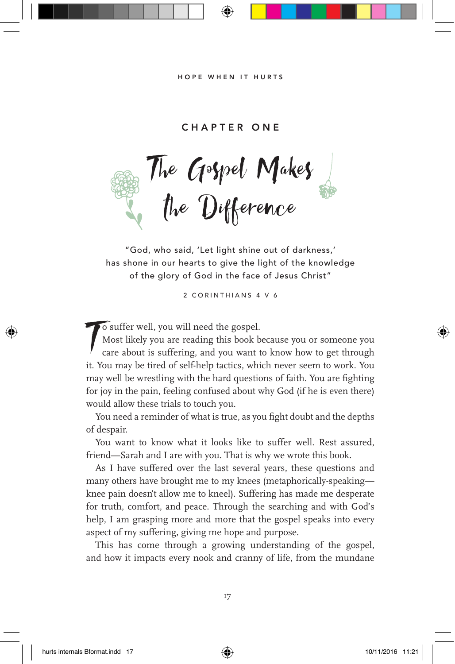#### CHAPTER ONE

The Gospel Makes the Difference

"God, who said, 'Let light shine out of darkness,' has shone in our hearts to give the light of the knowledge of the glory of God in the face of Jesus Christ"

2 CORINTHIANS 4 V 6

o suffer well, you will need the gospel.

T Most likely you are reading this book because you or someone you care about is suffering, and you want to know how to get through it. You may be tired of self-help tactics, which never seem to work. You may well be wrestling with the hard questions of faith. You are fighting for joy in the pain, feeling confused about why God (if he is even there) would allow these trials to touch you.

You need a reminder of what is true, as you fight doubt and the depths of despair.

You want to know what it looks like to suffer well. Rest assured, friend—Sarah and I are with you. That is why we wrote this book.

As I have suffered over the last several years, these questions and many others have brought me to my knees (metaphorically-speaking knee pain doesn't allow me to kneel). Suffering has made me desperate for truth, comfort, and peace. Through the searching and with God's help, I am grasping more and more that the gospel speaks into every aspect of my suffering, giving me hope and purpose.

This has come through a growing understanding of the gospel, and how it impacts every nook and cranny of life, from the mundane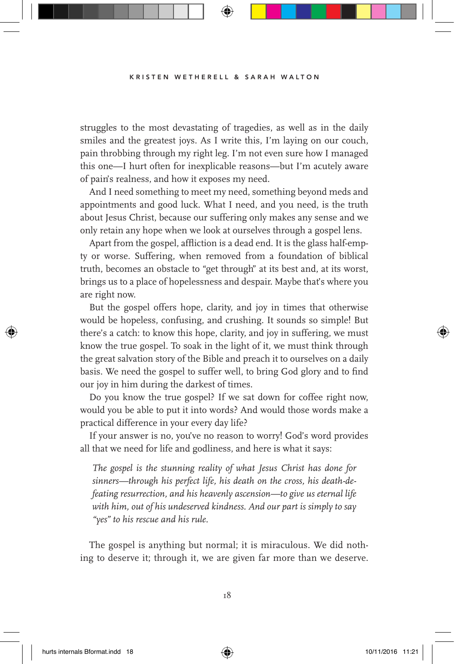struggles to the most devastating of tragedies, as well as in the daily smiles and the greatest joys. As I write this, I'm laying on our couch, pain throbbing through my right leg. I'm not even sure how I managed this one—I hurt often for inexplicable reasons—but I'm acutely aware of pain's realness, and how it exposes my need.

And I need something to meet my need, something beyond meds and appointments and good luck. What I need, and you need, is the truth about Jesus Christ, because our suffering only makes any sense and we only retain any hope when we look at ourselves through a gospel lens.

Apart from the gospel, affliction is a dead end. It is the glass half-empty or worse. Suffering, when removed from a foundation of biblical truth, becomes an obstacle to "get through" at its best and, at its worst, brings us to a place of hopelessness and despair. Maybe that's where you are right now.

But the gospel offers hope, clarity, and joy in times that otherwise would be hopeless, confusing, and crushing. It sounds so simple! But there's a catch: to know this hope, clarity, and joy in suffering, we must know the true gospel. To soak in the light of it, we must think through the great salvation story of the Bible and preach it to ourselves on a daily basis. We need the gospel to suffer well, to bring God glory and to find our joy in him during the darkest of times.

Do you know the true gospel? If we sat down for coffee right now, would you be able to put it into words? And would those words make a practical difference in your every day life?

If your answer is no, you've no reason to worry! God's word provides all that we need for life and godliness, and here is what it says:

*The gospel is the stunning reality of what Jesus Christ has done for sinners—through his perfect life, his death on the cross, his death-defeating resurrection, and his heavenly ascension—to give us eternal life with him, out of his undeserved kindness. And our part is simply to say "yes" to his rescue and his rule.* 

The gospel is anything but normal; it is miraculous. We did nothing to deserve it; through it, we are given far more than we deserve.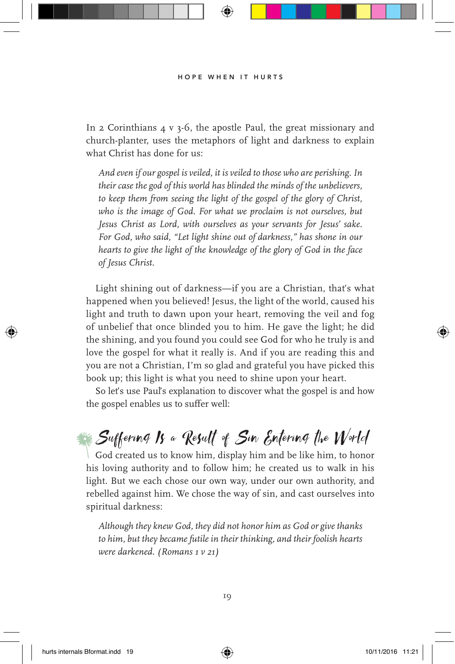In 2 Corinthians 4 v 3-6, the apostle Paul, the great missionary and church-planter, uses the metaphors of light and darkness to explain what Christ has done for us:

*And even if our gospel is veiled, it is veiled to those who are perishing. In their case the god of this world has blinded the minds of the unbelievers, to keep them from seeing the light of the gospel of the glory of Christ, who is the image of God. For what we proclaim is not ourselves, but Jesus Christ as Lord, with ourselves as your servants for Jesus' sake. For God, who said, "Let light shine out of darkness," has shone in our hearts to give the light of the knowledge of the glory of God in the face of Jesus Christ.* 

Light shining out of darkness—if you are a Christian, that's what happened when you believed! Jesus, the light of the world, caused his light and truth to dawn upon your heart, removing the veil and fog of unbelief that once blinded you to him. He gave the light; he did the shining, and you found you could see God for who he truly is and love the gospel for what it really is. And if you are reading this and you are not a Christian, I'm so glad and grateful you have picked this book up; this light is what you need to shine upon your heart.

So let's use Paul's explanation to discover what the gospel is and how the gospel enables us to suffer well:

 $\blacktriangleright$  Suffering Is a Result of Sin Entering the World God created us to know him, display him and be like him, to honor

his loving authority and to follow him; he created us to walk in his light. But we each chose our own way, under our own authority, and rebelled against him. We chose the way of sin, and cast ourselves into spiritual darkness:

*Although they knew God, they did not honor him as God or give thanks to him, but they became futile in their thinking, and their foolish hearts were darkened. (Romans 1 v 21)*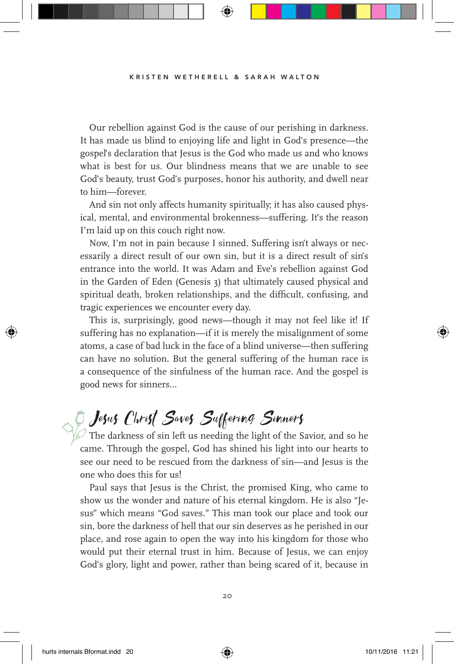Our rebellion against God is the cause of our perishing in darkness. It has made us blind to enjoying life and light in God's presence—the gospel's declaration that Jesus is the God who made us and who knows what is best for us. Our blindness means that we are unable to see God's beauty, trust God's purposes, honor his authority, and dwell near to him—forever.

And sin not only affects humanity spiritually; it has also caused physical, mental, and environmental brokenness—suffering. It's the reason I'm laid up on this couch right now.

Now, I'm not in pain because I sinned. Suffering isn't always or necessarily a direct result of our own sin, but it is a direct result of sin's entrance into the world. It was Adam and Eve's rebellion against God in the Garden of Eden (Genesis 3) that ultimately caused physical and spiritual death, broken relationships, and the difficult, confusing, and tragic experiences we encounter every day.

This is, surprisingly, good news—though it may not feel like it! If suffering has no explanation—if it is merely the misalignment of some atoms, a case of bad luck in the face of a blind universe—then suffering can have no solution. But the general suffering of the human race is a consequence of the sinfulness of the human race. And the gospel is good news for sinners…

#### $\mathbb U$  Jesus Christ Saves Suffering Sinners

 $\mathcal O$  The darkness of sin left us needing the light of the Savior, and so he came. Through the gospel, God has shined his light into our hearts to see our need to be rescued from the darkness of sin—and Jesus is the one who does this for us!

Paul says that Jesus is the Christ, the promised King, who came to show us the wonder and nature of his eternal kingdom. He is also "Jesus" which means "God saves." This man took our place and took our sin, bore the darkness of hell that our sin deserves as he perished in our place, and rose again to open the way into his kingdom for those who would put their eternal trust in him. Because of Jesus, we can enjoy God's glory, light and power, rather than being scared of it, because in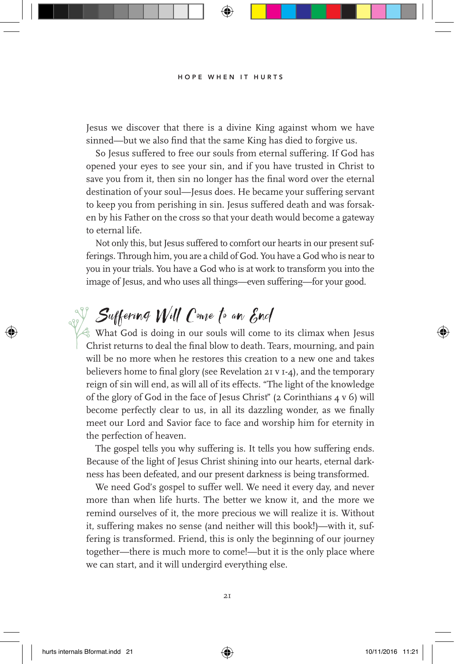Jesus we discover that there is a divine King against whom we have sinned—but we also find that the same King has died to forgive us.

So Jesus suffered to free our souls from eternal suffering. If God has opened your eyes to see your sin, and if you have trusted in Christ to save you from it, then sin no longer has the final word over the eternal destination of your soul—Jesus does. He became your suffering servant to keep you from perishing in sin. Jesus suffered death and was forsaken by his Father on the cross so that your death would become a gateway to eternal life.

Not only this, but Jesus suffered to comfort our hearts in our present sufferings. Through him, you are a child of God. You have a God who is near to you in your trials. You have a God who is at work to transform you into the image of Jesus, and who uses all things—even suffering—for your good.

#### Suffering Will Come to an End

What God is doing in our souls will come to its climax when Jesus Christ returns to deal the final blow to death. Tears, mourning, and pain will be no more when he restores this creation to a new one and takes believers home to final glory (see Revelation 21 v 1-4), and the temporary reign of sin will end, as will all of its effects. "The light of the knowledge of the glory of God in the face of Jesus Christ" (2 Corinthians 4 v 6) will become perfectly clear to us, in all its dazzling wonder, as we finally meet our Lord and Savior face to face and worship him for eternity in the perfection of heaven.

The gospel tells you why suffering is. It tells you how suffering ends. Because of the light of Jesus Christ shining into our hearts, eternal darkness has been defeated, and our present darkness is being transformed.

We need God's gospel to suffer well. We need it every day, and never more than when life hurts. The better we know it, and the more we remind ourselves of it, the more precious we will realize it is. Without it, suffering makes no sense (and neither will this book!)—with it, suffering is transformed. Friend, this is only the beginning of our journey together—there is much more to come!—but it is the only place where we can start, and it will undergird everything else.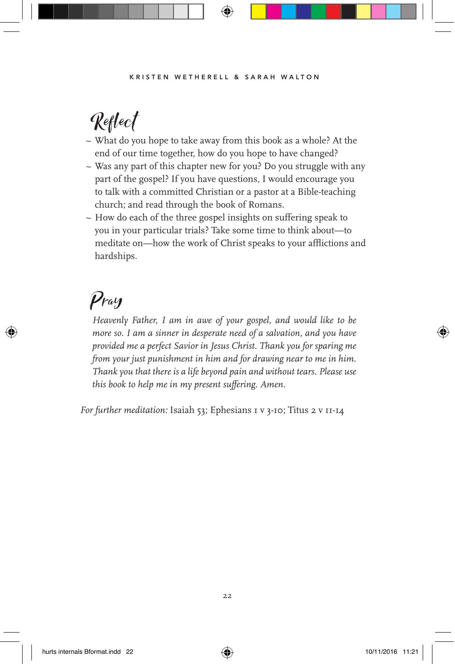# Reflect

- *~* What do you hope to take away from this book as a whole? At the end of our time together, how do you hope to have changed?
- *~* Was any part of this chapter new for you? Do you struggle with any part of the gospel? If you have questions, I would encourage you to talk with a committed Christian or a pastor at a Bible-teaching church; and read through the book of Romans.
- *~* How do each of the three gospel insights on suffering speak to you in your particular trials? Take some time to think about—to meditate on—how the work of Christ speaks to your afflictions and hardships.

## Pray

*Heavenly Father, I am in awe of your gospel, and would like to be more so. I am a sinner in desperate need of a salvation, and you have provided me a perfect Savior in Jesus Christ. Thank you for sparing me from your just punishment in him and for drawing near to me in him. Thank you that there is a life beyond pain and without tears. Please use this book to help me in my present suffering. Amen.* 

*For further meditation:* Isaiah 53; Ephesians I v 3-10; Titus 2 v II-14